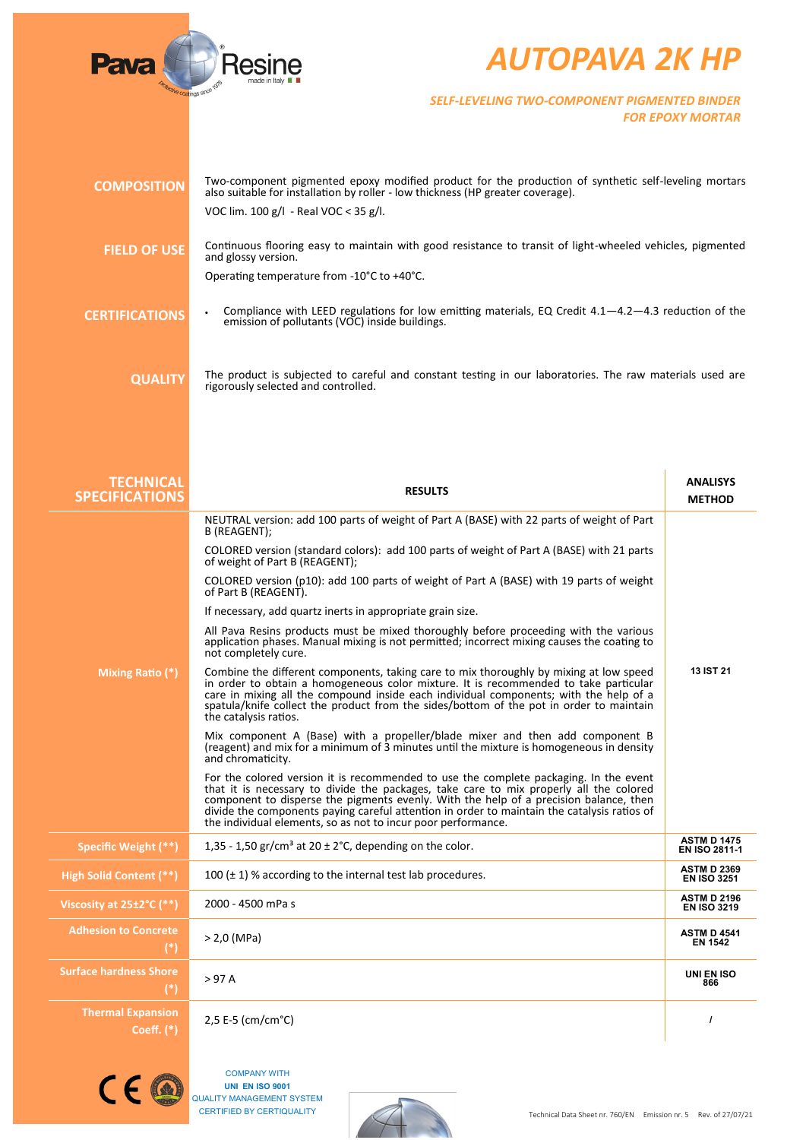

## *AUTOPAVA 2K HP*

*SELF-LEVELING TWO-COMPONENT PIGMENTED BINDER FOR EPOXY MORTAR*

| <b>COMPOSITION</b>                        | Two-component pigmented epoxy modified product for the production of synthetic self-leveling mortars<br>also suitable for installation by roller - low thickness (HP greater coverage).                                                                                                                                                                                                                                                  |                                          |
|-------------------------------------------|------------------------------------------------------------------------------------------------------------------------------------------------------------------------------------------------------------------------------------------------------------------------------------------------------------------------------------------------------------------------------------------------------------------------------------------|------------------------------------------|
|                                           | VOC lim. 100 g/l - Real VOC < 35 g/l.                                                                                                                                                                                                                                                                                                                                                                                                    |                                          |
| <b>FIELD OF USE</b>                       | Continuous flooring easy to maintain with good resistance to transit of light-wheeled vehicles, pigmented<br>and glossy version.                                                                                                                                                                                                                                                                                                         |                                          |
|                                           | Operating temperature from -10°C to +40°C.                                                                                                                                                                                                                                                                                                                                                                                               |                                          |
| <b>CERTIFICATIONS</b>                     | Compliance with LEED regulations for low emitting materials, EQ Credit $4.1-4.2-4.3$ reduction of the<br>emission of pollutants (VOC) inside buildings.                                                                                                                                                                                                                                                                                  |                                          |
| <b>QUALITY</b>                            | The product is subjected to careful and constant testing in our laboratories. The raw materials used are<br>rigorously selected and controlled.                                                                                                                                                                                                                                                                                          |                                          |
| <b>TECHNICAL</b><br><b>SPECIFICATIONS</b> | <b>RESULTS</b>                                                                                                                                                                                                                                                                                                                                                                                                                           | <b>ANALISYS</b><br><b>METHOD</b>         |
|                                           | NEUTRAL version: add 100 parts of weight of Part A (BASE) with 22 parts of weight of Part<br>B (REAGENT);                                                                                                                                                                                                                                                                                                                                |                                          |
|                                           | COLORED version (standard colors): add 100 parts of weight of Part A (BASE) with 21 parts<br>of weight of Part B (REAGENT);                                                                                                                                                                                                                                                                                                              |                                          |
|                                           | COLORED version (p10): add 100 parts of weight of Part A (BASE) with 19 parts of weight<br>of Part B (REAGENT).                                                                                                                                                                                                                                                                                                                          |                                          |
|                                           | If necessary, add quartz inerts in appropriate grain size.                                                                                                                                                                                                                                                                                                                                                                               |                                          |
|                                           | All Pava Resins products must be mixed thoroughly before proceeding with the various<br>application phases. Manual mixing is not permitted; incorrect mixing causes the coating to<br>not completely cure.                                                                                                                                                                                                                               |                                          |
| Mixing Ratio (*)                          | Combine the different components, taking care to mix thoroughly by mixing at low speed<br>in order to obtain a homogeneous color mixture. It is recommended to take particular<br>care in mixing all the compound inside each individual components; with the help of a<br>spatula/knife collect the product from the sides/bottom of the pot in order to maintain<br>the catalysis ratios.                                              | 13 IST 21                                |
|                                           | Mix component A (Base) with a propeller/blade mixer and then add component B<br>(reagent) and mix for a minimum of 3 minutes until the mixture is homogeneous in density<br>and chromaticity.                                                                                                                                                                                                                                            |                                          |
|                                           | For the colored version it is recommended to use the complete packaging. In the event<br>that it is necessary to divide the packages, take care to mix properly all the colored<br>component to disperse the pigments evenly. With the help of a precision balance, then<br>divide the components paying careful attention in order to maintain the catalysis ratios of<br>the individual elements, so as not to incur poor performance. |                                          |
| Specific Weight (**)                      | 1,35 - 1,50 gr/cm <sup>3</sup> at 20 $\pm$ 2°C, depending on the color.                                                                                                                                                                                                                                                                                                                                                                  | <b>ASTM D 1475</b><br>EN ISO 2811-1      |
| High Solid Content (**)                   | 100 $(\pm 1)$ % according to the internal test lab procedures.                                                                                                                                                                                                                                                                                                                                                                           | <b>ASTM D 2369</b><br><b>EN ISO 3251</b> |
| Viscosity at 25±2°C (**)                  | 2000 - 4500 mPa s                                                                                                                                                                                                                                                                                                                                                                                                                        | <b>ASTM D 2196</b><br><b>EN ISO 3219</b> |
| <b>Adhesion to Concrete</b><br>$(*)$      | $> 2,0$ (MPa)                                                                                                                                                                                                                                                                                                                                                                                                                            | <b>ASTM D 4541</b><br><b>EN 1542</b>     |
| <b>Surface hardness Shore</b><br>$(*)$    | >97A                                                                                                                                                                                                                                                                                                                                                                                                                                     | UNI EN ISO<br>866                        |
| <b>Thermal Expansion</b><br>Coeff. $(*)$  | 2,5 E-5 (cm/cm°C)                                                                                                                                                                                                                                                                                                                                                                                                                        | $\prime$                                 |
|                                           |                                                                                                                                                                                                                                                                                                                                                                                                                                          |                                          |



COMPANY WITH **UNI EN ISO 9001** QUALITY MANAGEMENT SYSTEM CERTIFIED BY CERTIQUALITY

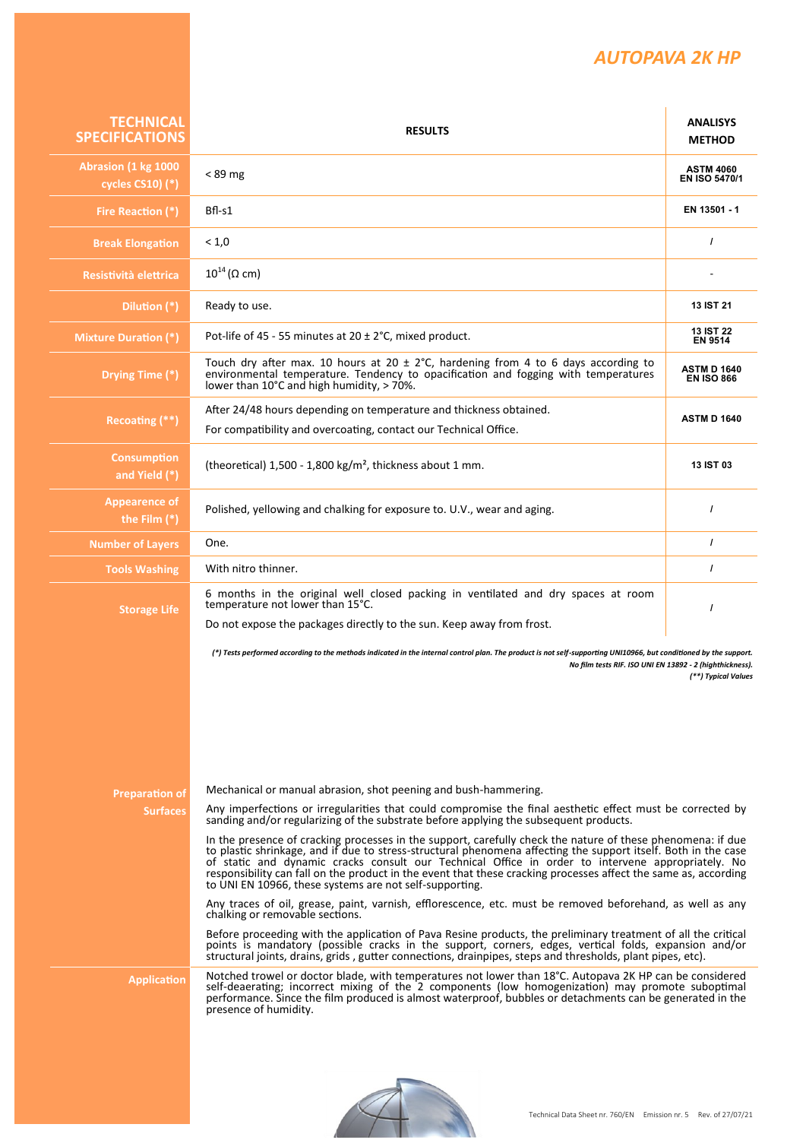## *AUTOPAVA 2K HP*

| <b>TECHNICAL</b><br><b>SPECIFICATIONS</b> | <b>RESULTS</b>                                                                                                                                                                                                                                                                                                                                                                                                                                                                                                   | <b>ANALISYS</b><br><b>METHOD</b>         |
|-------------------------------------------|------------------------------------------------------------------------------------------------------------------------------------------------------------------------------------------------------------------------------------------------------------------------------------------------------------------------------------------------------------------------------------------------------------------------------------------------------------------------------------------------------------------|------------------------------------------|
| Abrasion (1 kg 1000<br>cycles CS10) (*)   | $< 89$ mg                                                                                                                                                                                                                                                                                                                                                                                                                                                                                                        | <b>ASTM 4060</b><br><b>EN ISO 5470/1</b> |
| Fire Reaction (*)                         | $Bf - S1$                                                                                                                                                                                                                                                                                                                                                                                                                                                                                                        | EN 13501 - 1                             |
| <b>Break Elongation</b>                   | < 1,0                                                                                                                                                                                                                                                                                                                                                                                                                                                                                                            | $\prime$                                 |
| Resistività elettrica                     | $10^{14}$ ( $\Omega$ cm)                                                                                                                                                                                                                                                                                                                                                                                                                                                                                         |                                          |
| Dilution (*)                              | Ready to use.                                                                                                                                                                                                                                                                                                                                                                                                                                                                                                    | <b>13 IST 21</b>                         |
| <b>Mixture Duration (*)</b>               | Pot-life of 45 - 55 minutes at $20 \pm 2^{\circ}$ C, mixed product.                                                                                                                                                                                                                                                                                                                                                                                                                                              | <b>13 IST 22</b><br><b>EN 9514</b>       |
| Drying Time (*)                           | Touch dry after max. 10 hours at 20 $\pm$ 2°C, hardening from 4 to 6 days according to<br>environmental temperature. Tendency to opacification and fogging with temperatures<br>lower than 10°C and high humidity. $>$ 70%.                                                                                                                                                                                                                                                                                      | <b>ASTM D 1640</b><br><b>EN ISO 866</b>  |
| Recoating $(**)$                          | After 24/48 hours depending on temperature and thickness obtained.<br>For compatibility and overcoating, contact our Technical Office.                                                                                                                                                                                                                                                                                                                                                                           | <b>ASTM D 1640</b>                       |
| <b>Consumption</b><br>and Yield (*)       | (theoretical) $1,500 - 1,800$ kg/m <sup>2</sup> , thickness about 1 mm.                                                                                                                                                                                                                                                                                                                                                                                                                                          | 13 IST 03                                |
| <b>Appearence of</b><br>the Film $(*)$    | Polished, yellowing and chalking for exposure to. U.V., wear and aging.                                                                                                                                                                                                                                                                                                                                                                                                                                          | $\prime$                                 |
| <b>Number of Layers</b>                   | One.                                                                                                                                                                                                                                                                                                                                                                                                                                                                                                             | $\prime$                                 |
| <b>Tools Washing</b>                      | With nitro thinner.                                                                                                                                                                                                                                                                                                                                                                                                                                                                                              | $\prime$                                 |
| <b>Storage Life</b>                       | 6 months in the original well closed packing in ventilated and dry spaces at room<br>temperature not lower than 15°C.<br>Do not expose the packages directly to the sun. Keep away from frost.                                                                                                                                                                                                                                                                                                                   | $\prime$                                 |
|                                           | (*) Tests performed according to the methods indicated in the internal control plan. The product is not self-supporting UNI10966, but conditioned by the support.<br>No film tests RIF. ISO UNI EN 13892 - 2 (highthickness).                                                                                                                                                                                                                                                                                    | (**) Typical Values                      |
| <b>Preparation of</b><br><b>Surfaces</b>  | Mechanical or manual abrasion, shot peening and bush-hammering.<br>Any imperfections or irregularities that could compromise the final aesthetic effect must be corrected by<br>sanding and/or regularizing of the substrate before applying the subsequent products.                                                                                                                                                                                                                                            |                                          |
|                                           | In the presence of cracking processes in the support, carefully check the nature of these phenomena: if due<br>to plastic shrinkage, and if due to stress-structural phenomena affecting the support itself. Both in the case<br>of static and dynamic cracks consult our Technical Office in order to intervene appropriately. No<br>responsibility can fall on the product in the event that these cracking processes affect the same as, according<br>to UNI EN 10966, these systems are not self-supporting. |                                          |
|                                           | Any traces of oil, grease, paint, varnish, efflorescence, etc. must be removed beforehand, as well as any<br>chalking or removable sections.<br>Before proceeding with the application of Pava Resine products, the preliminary treatment of all the critical                                                                                                                                                                                                                                                    |                                          |
|                                           | points is mandatory (possible cracks in the support, corners, edges, vertical folds, expansion and/or<br>structural joints, drains, grids, gutter connections, drainpipes, steps and thresholds, plant pipes, etc).                                                                                                                                                                                                                                                                                              |                                          |
| <b>Application</b>                        | Notched trowel or doctor blade, with temperatures not lower than 18°C. Autopava 2K HP can be considered<br>self-deaerating; incorrect mixing of the 2 components (low homogenization) may promote suboptimal<br>performance. Since the film produced is almost waterproof, bubbles or detachments can be generated in the<br>presence of humidity.                                                                                                                                                               |                                          |
|                                           |                                                                                                                                                                                                                                                                                                                                                                                                                                                                                                                  |                                          |